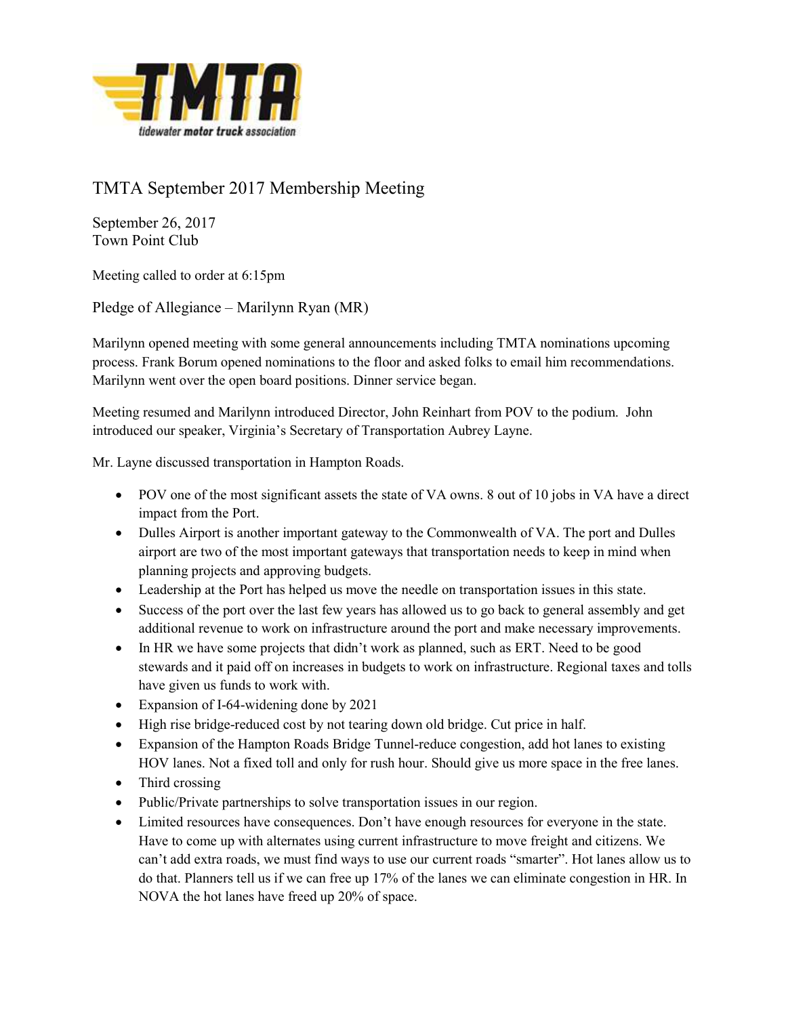

## TMTA September 2017 Membership Meeting

September 26, 2017 Town Point Club

Meeting called to order at 6:15pm

Pledge of Allegiance – Marilynn Ryan (MR)

Marilynn opened meeting with some general announcements including TMTA nominations upcoming process. Frank Borum opened nominations to the floor and asked folks to email him recommendations. Marilynn went over the open board positions. Dinner service began.

Meeting resumed and Marilynn introduced Director, John Reinhart from POV to the podium. John introduced our speaker, Virginia's Secretary of Transportation Aubrey Layne.

Mr. Layne discussed transportation in Hampton Roads.

- POV one of the most significant assets the state of VA owns. 8 out of 10 jobs in VA have a direct impact from the Port.
- Dulles Airport is another important gateway to the Commonwealth of VA. The port and Dulles airport are two of the most important gateways that transportation needs to keep in mind when planning projects and approving budgets.
- Leadership at the Port has helped us move the needle on transportation issues in this state.
- Success of the port over the last few years has allowed us to go back to general assembly and get additional revenue to work on infrastructure around the port and make necessary improvements.
- In HR we have some projects that didn't work as planned, such as ERT. Need to be good stewards and it paid off on increases in budgets to work on infrastructure. Regional taxes and tolls have given us funds to work with.
- Expansion of I-64-widening done by 2021
- High rise bridge-reduced cost by not tearing down old bridge. Cut price in half.
- Expansion of the Hampton Roads Bridge Tunnel-reduce congestion, add hot lanes to existing HOV lanes. Not a fixed toll and only for rush hour. Should give us more space in the free lanes.
- Third crossing
- Public/Private partnerships to solve transportation issues in our region.
- Limited resources have consequences. Don't have enough resources for everyone in the state. Have to come up with alternates using current infrastructure to move freight and citizens. We can't add extra roads, we must find ways to use our current roads "smarter". Hot lanes allow us to do that. Planners tell us if we can free up 17% of the lanes we can eliminate congestion in HR. In NOVA the hot lanes have freed up 20% of space.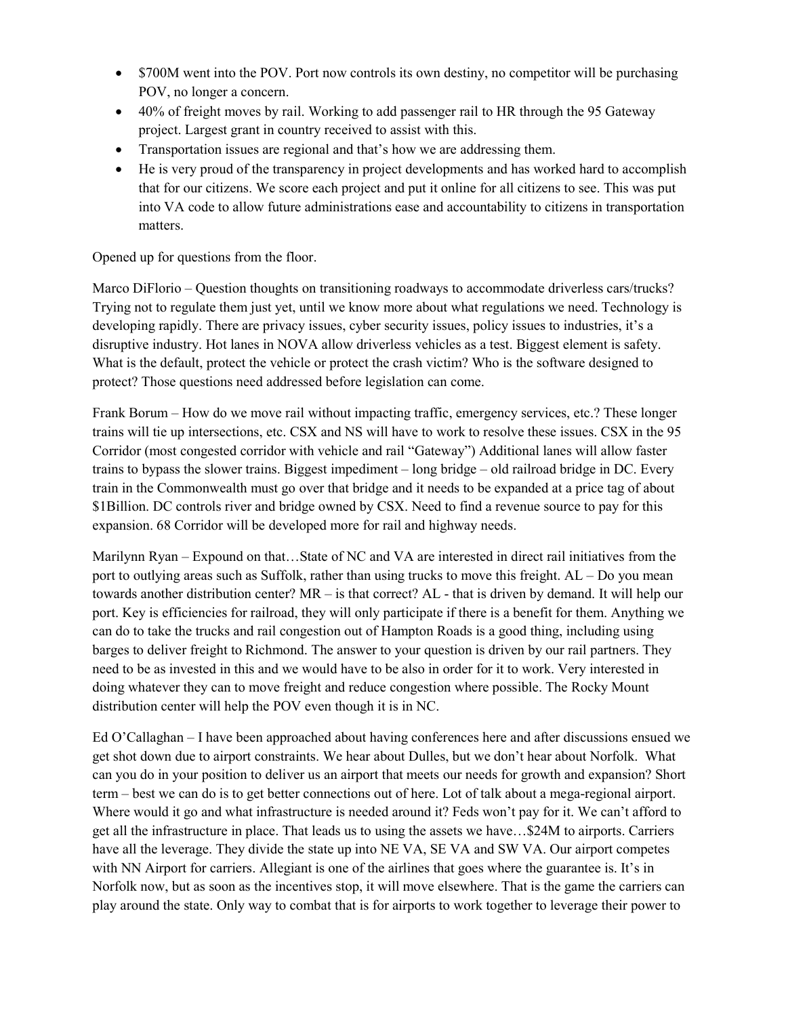- \$700M went into the POV. Port now controls its own destiny, no competitor will be purchasing POV, no longer a concern.
- 40% of freight moves by rail. Working to add passenger rail to HR through the 95 Gateway project. Largest grant in country received to assist with this.
- Transportation issues are regional and that's how we are addressing them.
- He is very proud of the transparency in project developments and has worked hard to accomplish that for our citizens. We score each project and put it online for all citizens to see. This was put into VA code to allow future administrations ease and accountability to citizens in transportation matters.

Opened up for questions from the floor.

Marco DiFlorio – Question thoughts on transitioning roadways to accommodate driverless cars/trucks? Trying not to regulate them just yet, until we know more about what regulations we need. Technology is developing rapidly. There are privacy issues, cyber security issues, policy issues to industries, it's a disruptive industry. Hot lanes in NOVA allow driverless vehicles as a test. Biggest element is safety. What is the default, protect the vehicle or protect the crash victim? Who is the software designed to protect? Those questions need addressed before legislation can come.

Frank Borum – How do we move rail without impacting traffic, emergency services, etc.? These longer trains will tie up intersections, etc. CSX and NS will have to work to resolve these issues. CSX in the 95 Corridor (most congested corridor with vehicle and rail "Gateway") Additional lanes will allow faster trains to bypass the slower trains. Biggest impediment – long bridge – old railroad bridge in DC. Every train in the Commonwealth must go over that bridge and it needs to be expanded at a price tag of about \$1Billion. DC controls river and bridge owned by CSX. Need to find a revenue source to pay for this expansion. 68 Corridor will be developed more for rail and highway needs.

Marilynn Ryan – Expound on that…State of NC and VA are interested in direct rail initiatives from the port to outlying areas such as Suffolk, rather than using trucks to move this freight. AL – Do you mean towards another distribution center? MR – is that correct? AL - that is driven by demand. It will help our port. Key is efficiencies for railroad, they will only participate if there is a benefit for them. Anything we can do to take the trucks and rail congestion out of Hampton Roads is a good thing, including using barges to deliver freight to Richmond. The answer to your question is driven by our rail partners. They need to be as invested in this and we would have to be also in order for it to work. Very interested in doing whatever they can to move freight and reduce congestion where possible. The Rocky Mount distribution center will help the POV even though it is in NC.

Ed O'Callaghan – I have been approached about having conferences here and after discussions ensued we get shot down due to airport constraints. We hear about Dulles, but we don't hear about Norfolk. What can you do in your position to deliver us an airport that meets our needs for growth and expansion? Short term – best we can do is to get better connections out of here. Lot of talk about a mega-regional airport. Where would it go and what infrastructure is needed around it? Feds won't pay for it. We can't afford to get all the infrastructure in place. That leads us to using the assets we have…\$24M to airports. Carriers have all the leverage. They divide the state up into NE VA, SE VA and SW VA. Our airport competes with NN Airport for carriers. Allegiant is one of the airlines that goes where the guarantee is. It's in Norfolk now, but as soon as the incentives stop, it will move elsewhere. That is the game the carriers can play around the state. Only way to combat that is for airports to work together to leverage their power to